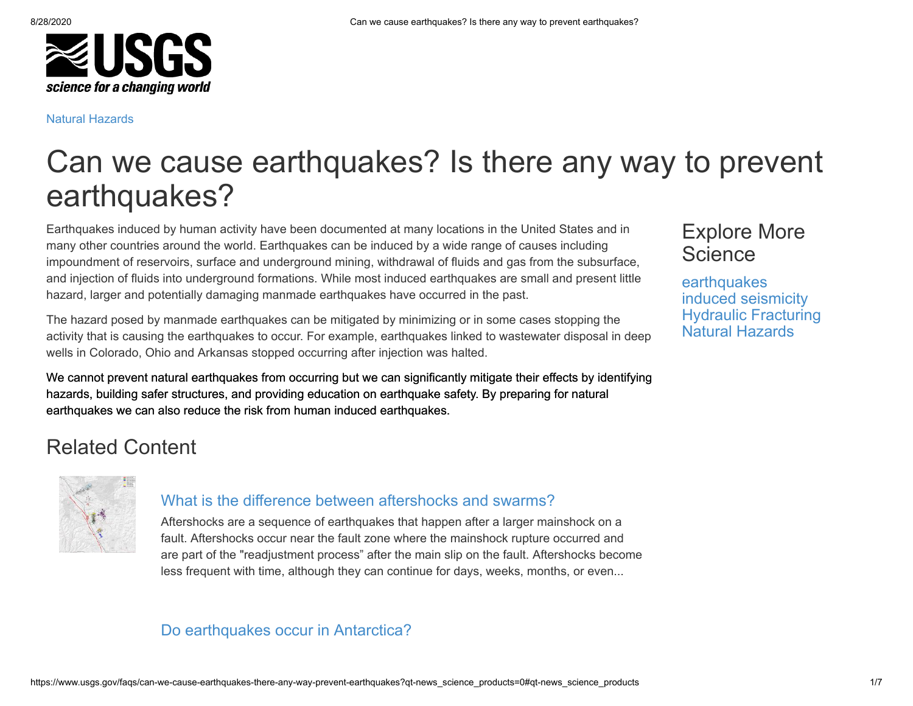

#### [Natural Hazards](https://www.usgs.gov/faq/natural-hazards)

# Can we cause earthquakes? Is there any way to prevent earthquakes?

Earthquakes induced by human activity have been documented at many locations in the United States and in many other countries around the world. Earthquakes can be induced by a wide range of causes including impoundment of reservoirs, surface and underground mining, withdrawal of fluids and gas from the subsurface, and injection of fluids into underground formations. While most induced earthquakes are small and present little hazard, larger and potentially damaging manmade earthquakes have occurred in the past.

The hazard posed by manmade earthquakes can be mitigated by minimizing or in some cases stopping the activity that is causing the earthquakes to occur. For example, earthquakes linked to wastewater disposal in deep wells in Colorado, Ohio and Arkansas stopped occurring after injection was halted.

We cannot prevent natural earthquakes from occurring but we can significantly mitigate their effects by identifying hazards, building safer structures, and providing education on earthquake safety. By preparing for natural earthquakes we can also reduce the risk from human induced earthquakes.

# Related Content



#### [What is the difference between aftershocks and swarms?](https://www.usgs.gov/faqs/what-difference-between-aftershocks-and-swarms)

Aftershocks are a sequence of earthquakes that happen after a larger mainshock on a fault. Aftershocks occur near the fault zone where the mainshock rupture occurred and are part of the "readjustment process" after the main slip on the fault. Aftershocks become less frequent with time, although they can continue for days, weeks, months, or even...

#### [Do earthquakes occur in Antarctica?](https://www.usgs.gov/faqs/do-earthquakes-occur-antarctica)

## Explore More **Science**

**[earthquakes](https://www.usgs.gov/science-explorer-results?es=earthquakes)** [induced seismicity](https://www.usgs.gov/science-explorer-results?es=induced+seismicity) [Hydraulic Fracturing](https://www.usgs.gov/science-explorer-results?es=Hydraulic+Fracturing) [Natural Hazards](https://www.usgs.gov/science-explorer-results?es=Natural+Hazards)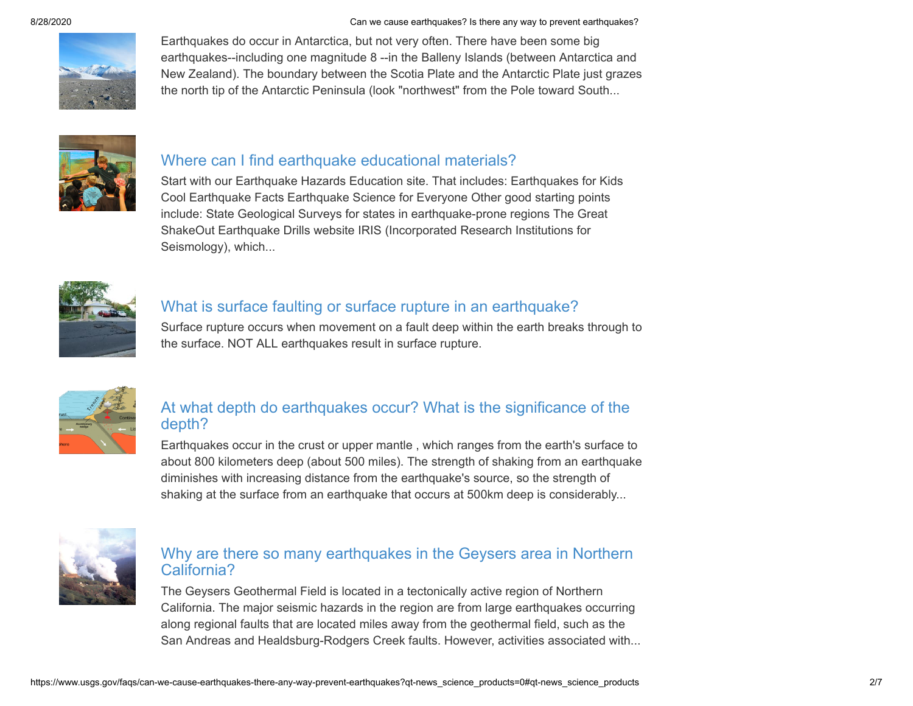8/28/2020 Can we cause earthquakes? Is there any way to prevent earthquakes?



Earthquakes do occur in Antarctica, but not very often. There have been some big earthquakes--including one magnitude 8 --in the Balleny Islands (between Antarctica and New Zealand). The boundary between the Scotia Plate and the Antarctic Plate just grazes the north tip of the Antarctic Peninsula (look "northwest" from the Pole toward South...



#### [Where can I find earthquake educational materials?](https://www.usgs.gov/faqs/where-can-i-find-earthquake-educational-materials)

Start with our Earthquake Hazards Education site. That includes: Earthquakes for Kids Cool Earthquake Facts Earthquake Science for Everyone Other good starting points include: State Geological Surveys for states in earthquake-prone regions The Great ShakeOut Earthquake Drills website IRIS (Incorporated Research Institutions for Seismology), which...



#### [What is surface faulting or surface rupture in an earthquake?](https://www.usgs.gov/faqs/what-surface-faulting-or-surface-rupture-earthquake)

Surface rupture occurs when movement on a fault deep within the earth breaks through to the surface. NOT ALL earthquakes result in surface rupture.



#### [At what depth do earthquakes occur? What is the significance of the](https://www.usgs.gov/faqs/what-depth-do-earthquakes-occur-what-significance-depth) depth?

Earthquakes occur in the crust or upper mantle , which ranges from the earth's surface to about 800 kilometers deep (about 500 miles). The strength of shaking from an earthquake diminishes with increasing distance from the earthquake's source, so the strength of shaking at the surface from an earthquake that occurs at 500km deep is considerably...



#### [Why are there so many earthquakes in the Geysers area in Northern](https://www.usgs.gov/faqs/why-are-there-so-many-earthquakes-geysers-area-northern-california) California?

The Geysers Geothermal Field is located in a tectonically active region of Northern California. The major seismic hazards in the region are from large earthquakes occurring along regional faults that are located miles away from the geothermal field, such as the San Andreas and Healdsburg-Rodgers Creek faults. However, activities associated with...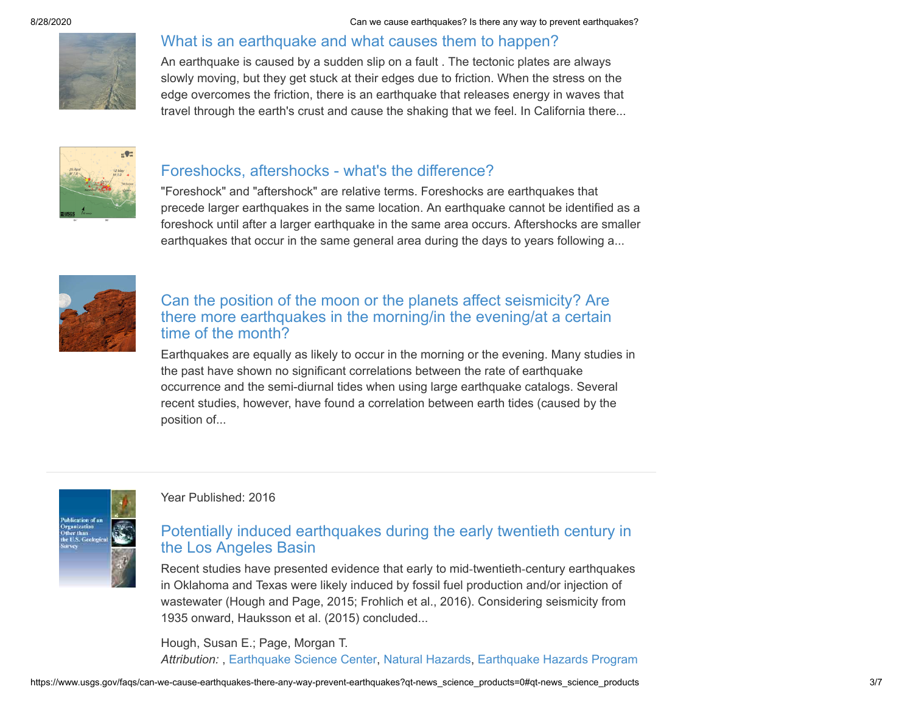### [What is an earthquake and what causes them to happen?](https://www.usgs.gov/faqs/what-earthquake-and-what-causes-them-happen)

An earthquake is caused by a sudden slip on a fault . The tectonic plates are always slowly moving, but they get stuck at their edges due to friction. When the stress on the edge overcomes the friction, there is an earthquake that releases energy in waves that travel through the earth's crust and cause the shaking that we feel. In California there...



#### [Foreshocks, aftershocks - what's the difference?](https://www.usgs.gov/faqs/foreshocks-aftershocks-whats-difference)

"Foreshock" and "aftershock" are relative terms. Foreshocks are earthquakes that precede larger earthquakes in the same location. An earthquake cannot be identified as a foreshock until after a larger earthquake in the same area occurs. Aftershocks are smaller earthquakes that occur in the same general area during the days to years following a...



#### Can the position of the moon or the planets affect seismicity? Are [there more earthquakes in the morning/in the evening/at a certain](https://www.usgs.gov/faqs/can-position-moon-or-planets-affect-seismicity-are-there-more-earthquakes-morningin-eveningat-a) time of the month?

Earthquakes are equally as likely to occur in the morning or the evening. Many studies in the past have shown no significant correlations between the rate of earthquake occurrence and the semi-diurnal tides when using large earthquake catalogs. Several recent studies, however, have found a correlation between earth tides (caused by the position of...



#### Year Published: 2016

#### [Potentially induced earthquakes during the early twentieth century in](http://pubs.er.usgs.gov/publication/70192835) the Los Angeles Basin

Recent studies have presented evidence that early to mid‐twentieth‐century earthquakes in Oklahoma and Texas were likely induced by fossil fuel production and/or injection of wastewater (Hough and Page, 2015; Frohlich et al., 2016). Considering seismicity from 1935 onward, Hauksson et al. (2015) concluded...

Hough, Susan E.; Page, Morgan T. *Attribution:* , [Earthquake Science Center,](https://www.usgs.gov/centers/earthquake-science-center) [Natural Hazards](https://www.usgs.gov/mission-areas/natural-hazards), [Earthquake Hazards Program](https://www.usgs.gov/natural-hazards/earthquake-hazards)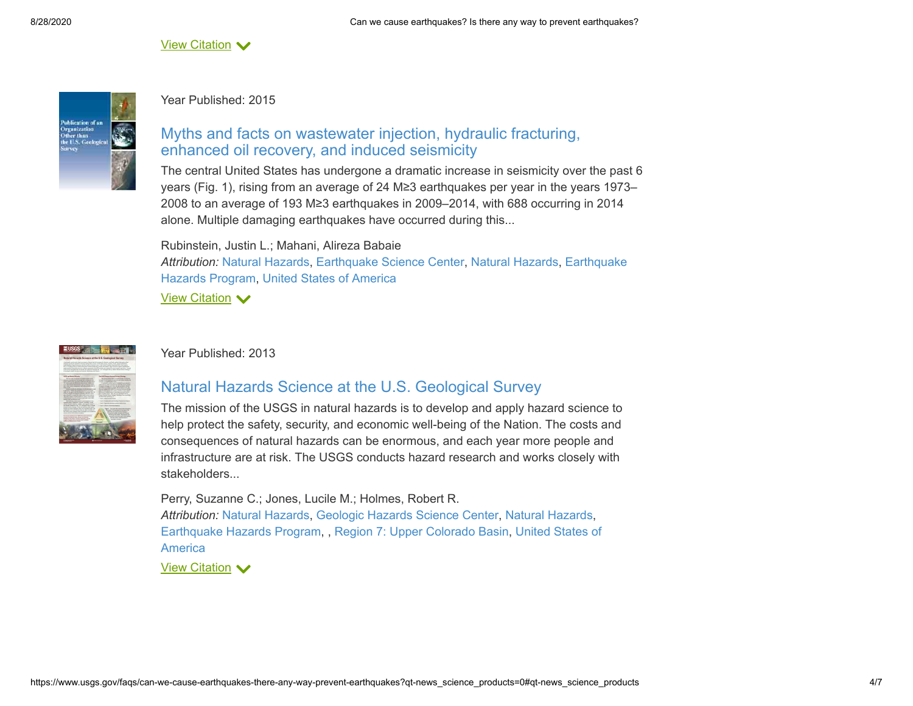View Citation  $\blacktriangledown$ 



#### Year Published: 2015

#### [Myths and facts on wastewater injection, hydraulic fracturing,](http://pubs.er.usgs.gov/publication/70155938) enhanced oil recovery, and induced seismicity

The central United States has undergone a dramatic increase in seismicity over the past 6 years (Fig. 1), rising from an average of 24 M≥3 earthquakes per year in the years 1973– 2008 to an average of 193 M≥3 earthquakes in 2009–2014, with 688 occurring in 2014 alone. Multiple damaging earthquakes have occurred during this...

Rubinstein, Justin L.; Mahani, Alireza Babaie *Attribution:* [Natural Hazard](https://www.usgs.gov/node/)[s,](https://www.usgs.gov/natural-hazards/earthquake-hazards) [Earthquake Science Cente](https://www.usgs.gov/centers/earthquake-science-center)[r,](https://www.usgs.gov/natural-hazards/earthquake-hazards) [Natural Hazard](https://www.usgs.gov/mission-areas/natural-hazards)[s, Earthquake](https://www.usgs.gov/natural-hazards/earthquake-hazards) Hazards Program, [United States of America](https://www.usgs.gov/node/)

 $\frac{V$ iew Citation  $\blacktriangledown$ 



#### Year Published: 2013

#### [Natural Hazards Science at the U.S. Geological Survey](http://pubs.er.usgs.gov/publication/fs20133082)

The mission of the USGS in natural hazards is to develop and apply hazard science to help protect the safety, security, and economic well-being of the Nation. The costs and consequences of natural hazards can be enormous, and each year more people and infrastructure are at risk. The USGS conducts hazard research and works closely with stakeholders...

Perry, Suzanne C.; Jones, Lucile M.; Holmes, Robert R. *Attribution:* [Natural Hazards](https://www.usgs.gov/node/), [Geologic Hazards Science Center](https://www.usgs.gov/centers/geohazards), [Natural Hazards](https://www.usgs.gov/mission-areas/natural-hazards), [Earthquake Hazards Program](https://www.usgs.gov/natural-hazards/earthquake-hazards)[, ,](https://www.usgs.gov/node/) [Region 7: Upper Colorado Basin](https://www.usgs.gov/unified-interior-regions/region-7)[, United States of](https://www.usgs.gov/node/) America

View Citation  $\blacktriangledown$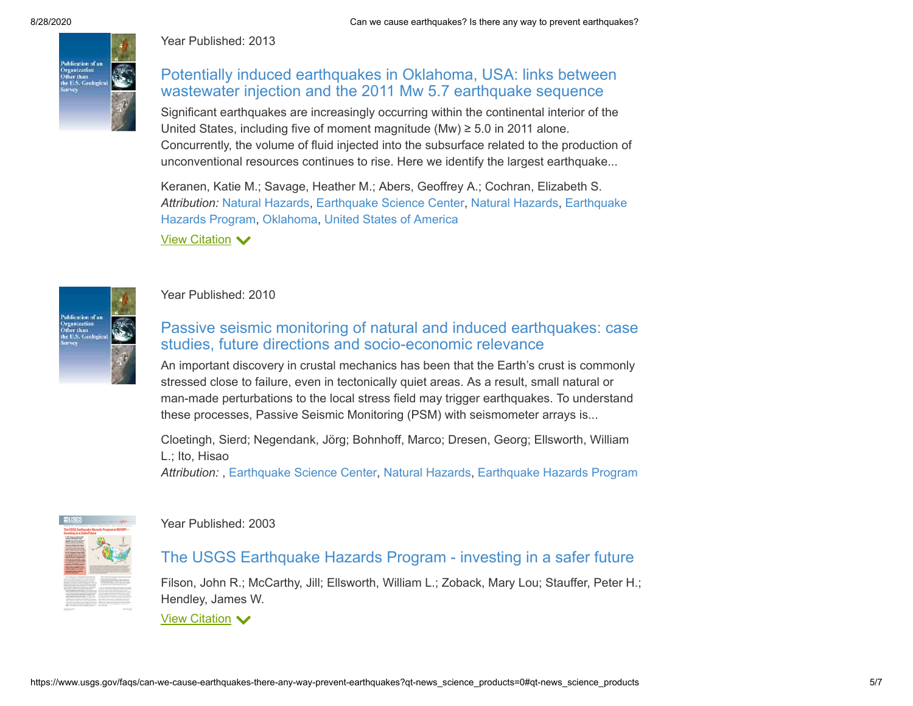

Year Published: 2013

#### [Potentially induced earthquakes in Oklahoma, USA: links between](http://pubs.er.usgs.gov/publication/70046834) wastewater injection and the 2011 Mw 5.7 earthquake sequence

Significant earthquakes are increasingly occurring within the continental interior of the United States, including five of moment magnitude (Mw) ≥ 5.0 in 2011 alone. Concurrently, the volume of fluid injected into the subsurface related to the production of unconventional resources continues to rise. Here we identify the largest earthquake...

Keranen, Katie M.; Savage, Heather M.; Abers, Geoffrey A.; Cochran, Elizabeth S. *Attribution:* [Natural Hazard](https://www.usgs.gov/node/)[s,](https://www.usgs.gov/natural-hazards/earthquake-hazards) [Earthquake Science Cente](https://www.usgs.gov/centers/earthquake-science-center)[r,](https://www.usgs.gov/natural-hazards/earthquake-hazards) [Natural Hazard](https://www.usgs.gov/mission-areas/natural-hazards)[s, Earthquake](https://www.usgs.gov/natural-hazards/earthquake-hazards) Hazards Program, [Oklahoma,](https://www.usgs.gov/states/oklahoma) [United States of America](https://www.usgs.gov/node/)

Tiazarus i Togram<br><u>View Citation</u> ❤



#### Year Published: 2010

#### [Passive seismic monitoring of natural and induced earthquakes: case](http://pubs.er.usgs.gov/publication/70158981) studies, future directions and socio-economic relevance

An important discovery in crustal mechanics has been that the Earth's crust is commonly stressed close to failure, even in tectonically quiet areas. As a result, small natural or man-made perturbations to the local stress field may trigger earthquakes. To understand these processes, Passive Seismic Monitoring (PSM) with seismometer arrays is...

Cloetingh, Sierd; Negendank, Jörg; Bohnhoff, Marco; Dresen, Georg; Ellsworth, William L.; Ito, Hisao

*Attribution:* , [Earthquake Science Center,](https://www.usgs.gov/centers/earthquake-science-center) [Natural Hazards](https://www.usgs.gov/mission-areas/natural-hazards), [Earthquake Hazards Program](https://www.usgs.gov/natural-hazards/earthquake-hazards)



#### Year Published: 2003

#### [The USGS Earthquake Hazards Program - investing in a safer future](http://pubs.er.usgs.gov/publication/fs01703)

Filson, John R.; McCarthy, Jill; Ellsworth, William L.; Zoback, Mary Lou; Stauffer, Peter H.; Hendley, James W.

 $\frac{V$ iew Citation  $\blacktriangledown$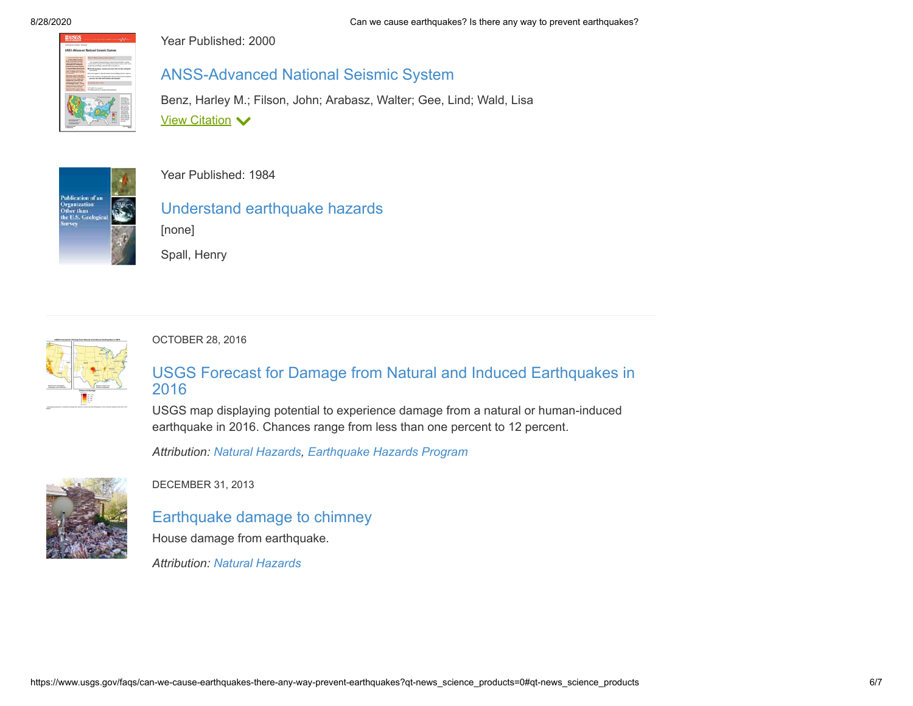

Year Published: 2000

#### [ANSS-Advanced National Seismic System](http://pubs.er.usgs.gov/publication/fs07500)

Benz, Harley M.; Filson, John; Arabasz, Walter; Gee, Lind; Wald, Lisa **View Citation ∨** 



Year Published: 1984

[Understand earthquake hazards](http://pubs.er.usgs.gov/publication/70179011) [none]

Spall, Henry



OCTOBER 28, 2016

#### [USGS Forecast for Damage from Natural and Induced Earthquakes in](https://www.usgs.gov/media/images/usgs-forecast-damage-natural-and-induced-earthquakes-2016) 2016

USGS map displaying potential to experience damage from a natural or human-induced earthquake in 2016. Chances range from less than one percent to 12 percent.

*Attribution: [Natural Hazards](https://www.usgs.gov/mission-areas/natural-hazards), [Earthquake Hazards Program](https://www.usgs.gov/natural-hazards/earthquake-hazards)*



DECEMBER 31, 2013

[Earthquake damage to chimney](https://www.usgs.gov/media/images/earthquake-damage-chimney) House damage from earthquake.

*Attribution: [Natural Hazards](https://www.usgs.gov/mission-areas/natural-hazards)*